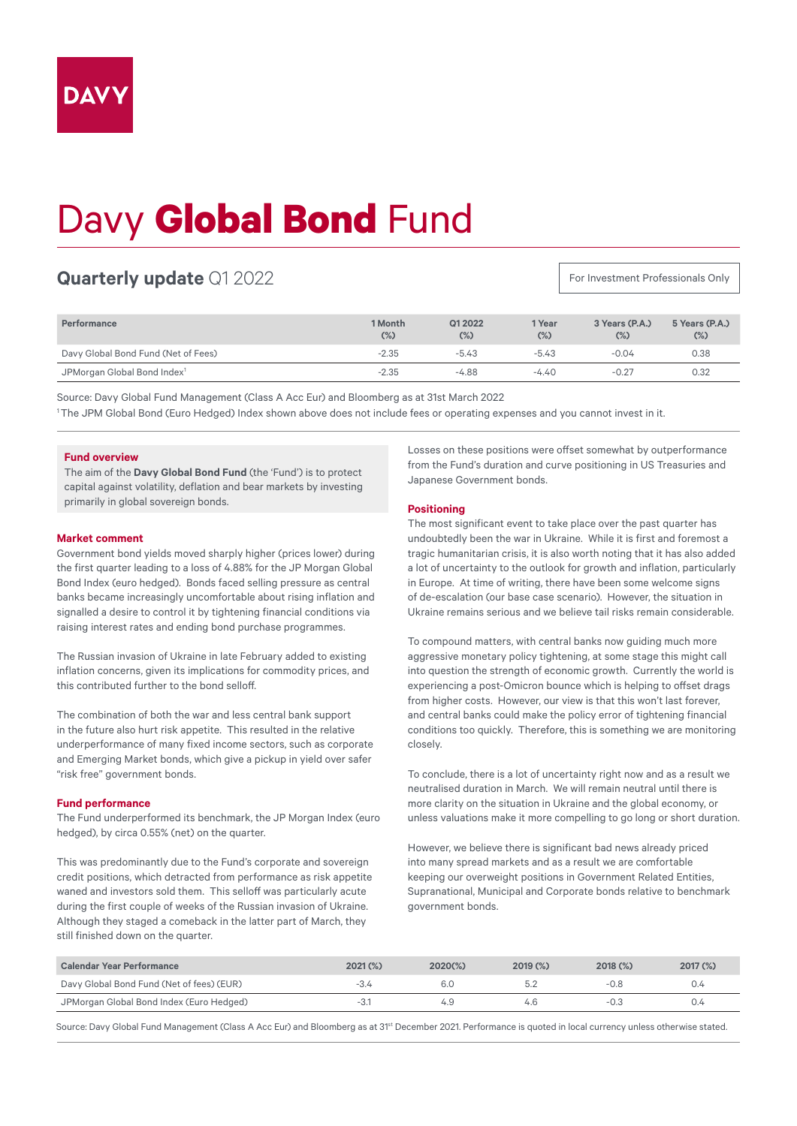# Davy **Global Bond** Fund

## **Quarterly update** Q1 2022

For Investment Professionals Only

| <b>Performance</b>                      | 1 Month<br>$(\%)$ | Q1 2022<br>$(\%)$ | 1 Year<br>$(\%)$ | 3 Years (P.A.)<br>$(\%)$ | 5 Years (P.A.)<br>$(\%)$ |
|-----------------------------------------|-------------------|-------------------|------------------|--------------------------|--------------------------|
| Davy Global Bond Fund (Net of Fees)     | $-2.35$           | $-5.43$           | $-5.43$          | $-0.04$                  | 0.38                     |
| JPMorgan Global Bond Index <sup>1</sup> | $-2.35$           | $-4.88$           | $-4.40$          | $-0.27$                  | 0.32                     |

Source: Davy Global Fund Management (Class A Acc Eur) and Bloomberg as at 31st March 2022

1 The JPM Global Bond (Euro Hedged) Index shown above does not include fees or operating expenses and you cannot invest in it.

### **Fund overview**

The aim of the **Davy Global Bond Fund** (the 'Fund') is to protect capital against volatility, deflation and bear markets by investing primarily in global sovereign bonds.

#### **Market comment**

Government bond yields moved sharply higher (prices lower) during the first quarter leading to a loss of 4.88% for the JP Morgan Global Bond Index (euro hedged). Bonds faced selling pressure as central banks became increasingly uncomfortable about rising inflation and signalled a desire to control it by tightening financial conditions via raising interest rates and ending bond purchase programmes.

The Russian invasion of Ukraine in late February added to existing inflation concerns, given its implications for commodity prices, and this contributed further to the bond selloff.

The combination of both the war and less central bank support in the future also hurt risk appetite. This resulted in the relative underperformance of many fixed income sectors, such as corporate and Emerging Market bonds, which give a pickup in yield over safer "risk free" government bonds.

#### **Fund performance**

The Fund underperformed its benchmark, the JP Morgan Index (euro hedged), by circa 0.55% (net) on the quarter.

This was predominantly due to the Fund's corporate and sovereign credit positions, which detracted from performance as risk appetite waned and investors sold them. This selloff was particularly acute during the first couple of weeks of the Russian invasion of Ukraine. Although they staged a comeback in the latter part of March, they still finished down on the quarter.

Losses on these positions were offset somewhat by outperformance from the Fund's duration and curve positioning in US Treasuries and Japanese Government bonds.

#### **Positioning**

The most significant event to take place over the past quarter has undoubtedly been the war in Ukraine. While it is first and foremost a tragic humanitarian crisis, it is also worth noting that it has also added a lot of uncertainty to the outlook for growth and inflation, particularly in Europe. At time of writing, there have been some welcome signs of de-escalation (our base case scenario). However, the situation in Ukraine remains serious and we believe tail risks remain considerable.

To compound matters, with central banks now guiding much more aggressive monetary policy tightening, at some stage this might call into question the strength of economic growth. Currently the world is experiencing a post-Omicron bounce which is helping to offset drags from higher costs. However, our view is that this won't last forever, and central banks could make the policy error of tightening financial conditions too quickly. Therefore, this is something we are monitoring closely.

To conclude, there is a lot of uncertainty right now and as a result we neutralised duration in March. We will remain neutral until there is more clarity on the situation in Ukraine and the global economy, or unless valuations make it more compelling to go long or short duration.

However, we believe there is significant bad news already priced into many spread markets and as a result we are comfortable keeping our overweight positions in Government Related Entities, Supranational, Municipal and Corporate bonds relative to benchmark government bonds.

| <b>Calendar Year Performance</b>          | $2021$ (%) | $2020(\%)$ | 2019(%) | $2018$ $\binom{9}{2}$ | $2017$ (%) |
|-------------------------------------------|------------|------------|---------|-----------------------|------------|
| Davy Global Bond Fund (Net of fees) (EUR) |            | -6.0       |         |                       | 0.4        |
| JPMorgan Global Bond Index (Euro Hedged)  | -3.        |            | 4.6     |                       | 0.4        |

Source: Davy Global Fund Management (Class A Acc Eur) and Bloomberg as at 31<sup>st</sup> December 2021. Performance is quoted in local currency unless otherwise stated.